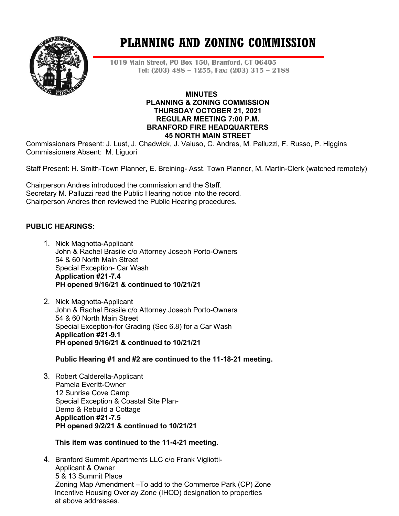

# **PLANNING AND ZONING COMMISSION**

**1019 Main Street, PO Box 150, Branford, CT 06405 Tel: (203) 488 – 1255, Fax: (203) 315 – 2188**

#### **MINUTES PLANNING & ZONING COMMISSION THURSDAY OCTOBER 21, 2021 REGULAR MEETING 7:00 P.M. BRANFORD FIRE HEADQUARTERS 45 NORTH MAIN STREET**

Commissioners Present: J. Lust, J. Chadwick, J. Vaiuso, C. Andres, M. Palluzzi, F. Russo, P. Higgins Commissioners Absent: M. Liguori

Staff Present: H. Smith-Town Planner, E. Breining- Asst. Town Planner, M. Martin-Clerk (watched remotely)

Chairperson Andres introduced the commission and the Staff. Secretary M. Palluzzi read the Public Hearing notice into the record. Chairperson Andres then reviewed the Public Hearing procedures.

#### **PUBLIC HEARINGS:**

- 1. Nick Magnotta-Applicant John & Rachel Brasile c/o Attorney Joseph Porto-Owners 54 & 60 North Main Street Special Exception- Car Wash **Application #21-7.4 PH opened 9/16/21 & continued to 10/21/21**
- 2. Nick Magnotta-Applicant John & Rachel Brasile c/o Attorney Joseph Porto-Owners 54 & 60 North Main Street Special Exception-for Grading (Sec 6.8) for a Car Wash **Application #21-9.1 PH opened 9/16/21 & continued to 10/21/21**

**Public Hearing #1 and #2 are continued to the 11-18-21 meeting.**

3. Robert Calderella-Applicant Pamela Everitt-Owner 12 Sunrise Cove Camp Special Exception & Coastal Site Plan-Demo & Rebuild a Cottage **Application #21-7.5 PH opened 9/2/21 & continued to 10/21/21**

#### **This item was continued to the 11-4-21 meeting.**

4. Branford Summit Apartments LLC c/o Frank Vigliotti-Applicant & Owner 5 & 13 Summit Place Zoning Map Amendment –To add to the Commerce Park (CP) Zone Incentive Housing Overlay Zone (IHOD) designation to properties at above addresses.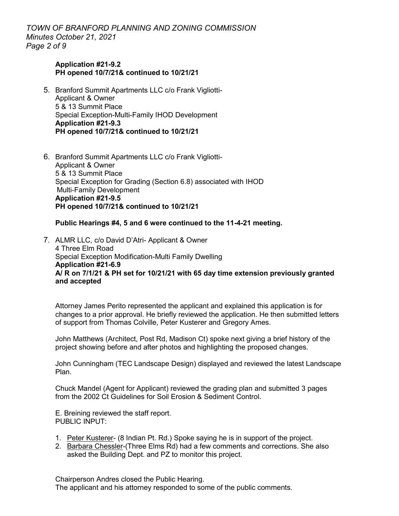*TOWN OF BRANFORD PLANNING AND ZONING COMMISSION Minutes October 21, 2021 Page 2 of 9*

#### **Application #21-9.2 PH opened 10/7/21& continued to 10/21/21**

- 5. Branford Summit Apartments LLC c/o Frank Vigliotti-Applicant & Owner 5 & 13 Summit Place Special Exception-Multi-Family IHOD Development **Application #21-9.3 PH opened 10/7/21& continued to 10/21/21**
- 6. Branford Summit Apartments LLC c/o Frank Vigliotti-Applicant & Owner 5 & 13 Summit Place Special Exception for Grading (Section 6.8) associated with IHOD Multi-Family Development **Application #21-9.5 PH opened 10/7/21& continued to 10/21/21**

#### **Public Hearings #4, 5 and 6 were continued to the 11-4-21 meeting.**

7. ALMR LLC, c/o David D'Atri- Applicant & Owner 4 Three Elm Road Special Exception Modification-Multi Family Dwelling **Application #21-6.9 A/ R on 7/1/21 & PH set for 10/21/21 with 65 day time extension previously granted and accepted**

Attorney James Perito represented the applicant and explained this application is for changes to a prior approval. He briefly reviewed the application. He then submitted letters of support from Thomas Colville, Peter Kusterer and Gregory Ames.

John Matthews (Architect, Post Rd, Madison Ct) spoke next giving a brief history of the project showing before and after photos and highlighting the proposed changes.

John Cunningham (TEC Landscape Design) displayed and reviewed the latest Landscape Plan.

Chuck Mandel (Agent for Applicant) reviewed the grading plan and submitted 3 pages from the 2002 Ct Guidelines for Soil Erosion & Sediment Control.

E. Breining reviewed the staff report. PUBLIC INPUT:

- 1. Peter Kusterer- (8 Indian Pt. Rd.) Spoke saying he is in support of the project.
- 2. Barbara Chessler-(Three Elms Rd) had a few comments and corrections. She also asked the Building Dept. and PZ to monitor this project.

Chairperson Andres closed the Public Hearing.

The applicant and his attorney responded to some of the public comments.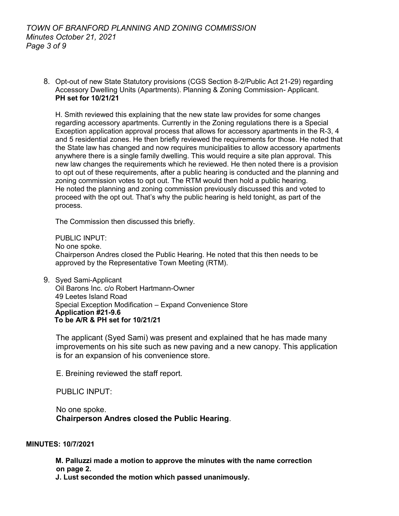8. Opt-out of new State Statutory provisions (CGS Section 8-2/Public Act 21-29) regarding Accessory Dwelling Units (Apartments). Planning & Zoning Commission- Applicant. **PH set for 10/21/21**

H. Smith reviewed this explaining that the new state law provides for some changes regarding accessory apartments. Currently in the Zoning regulations there is a Special Exception application approval process that allows for accessory apartments in the R-3, 4 and 5 residential zones. He then briefly reviewed the requirements for those. He noted that the State law has changed and now requires municipalities to allow accessory apartments anywhere there is a single family dwelling. This would require a site plan approval. This new law changes the requirements which he reviewed. He then noted there is a provision to opt out of these requirements, after a public hearing is conducted and the planning and zoning commission votes to opt out. The RTM would then hold a public hearing. He noted the planning and zoning commission previously discussed this and voted to proceed with the opt out. That's why the public hearing is held tonight, as part of the process.

The Commission then discussed this briefly.

PUBLIC INPUT: No one spoke. Chairperson Andres closed the Public Hearing. He noted that this then needs to be approved by the Representative Town Meeting (RTM).

9. Syed Sami-Applicant Oil Barons Inc. c/o Robert Hartmann-Owner 49 Leetes Island Road Special Exception Modification – Expand Convenience Store **Application #21-9.6 To be A/R & PH set for 10/21/21**

The applicant (Syed Sami) was present and explained that he has made many improvements on his site such as new paving and a new canopy. This application is for an expansion of his convenience store.

E. Breining reviewed the staff report.

PUBLIC INPUT:

 No one spoke. **Chairperson Andres closed the Public Hearing**.

#### **MINUTES: 10/7/2021**

 **M. Palluzzi made a motion to approve the minutes with the name correction on page 2.**

 **J. Lust seconded the motion which passed unanimously.**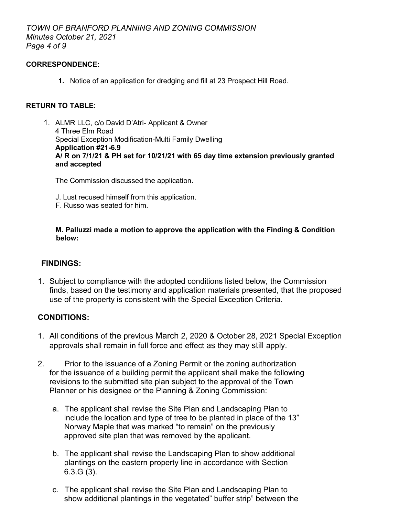#### **CORRESPONDENCE:**

**1.** Notice of an application for dredging and fill at 23 Prospect Hill Road.

## **RETURN TO TABLE:**

1. ALMR LLC, c/o David D'Atri- Applicant & Owner 4 Three Elm Road Special Exception Modification-Multi Family Dwelling **Application #21-6.9 A/ R on 7/1/21 & PH set for 10/21/21 with 65 day time extension previously granted and accepted**

The Commission discussed the application.

- J. Lust recused himself from this application.
- F. Russo was seated for him.

 **M. Palluzzi made a motion to approve the application with the Finding & Condition below:**

## **FINDINGS:**

1. Subject to compliance with the adopted conditions listed below, the Commission finds, based on the testimony and application materials presented, that the proposed use of the property is consistent with the Special Exception Criteria.

## **CONDITIONS:**

- 1. All conditions of the previous March 2, 2020 & October 28, 2021 Special Exception approvals shall remain in full force and effect as they may still apply.
- 2. Prior to the issuance of a Zoning Permit or the zoning authorization for the issuance of a building permit the applicant shall make the following revisions to the submitted site plan subject to the approval of the Town Planner or his designee or the Planning & Zoning Commission:
	- a. The applicant shall revise the Site Plan and Landscaping Plan to include the location and type of tree to be planted in place of the 13" Norway Maple that was marked "to remain" on the previously approved site plan that was removed by the applicant.
	- b. The applicant shall revise the Landscaping Plan to show additional plantings on the eastern property line in accordance with Section 6.3.G (3).
	- c. The applicant shall revise the Site Plan and Landscaping Plan to show additional plantings in the vegetated" buffer strip" between the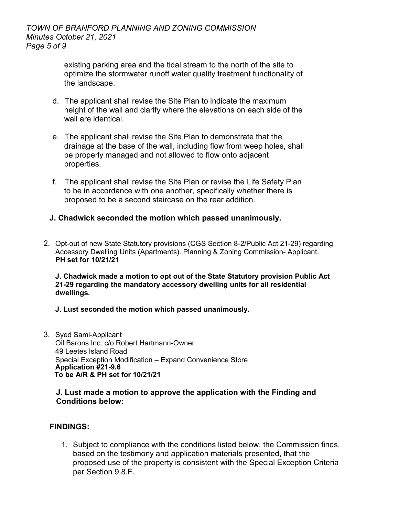existing parking area and the tidal stream to the north of the site to optimize the stormwater runoff water quality treatment functionality of the landscape.

- d. The applicant shall revise the Site Plan to indicate the maximum height of the wall and clarify where the elevations on each side of the wall are identical.
- e. The applicant shall revise the Site Plan to demonstrate that the drainage at the base of the wall, including flow from weep holes, shall be properly managed and not allowed to flow onto adjacent properties.
- f. The applicant shall revise the Site Plan or revise the Life Safety Plan to be in accordance with one another, specifically whether there is proposed to be a second staircase on the rear addition.

# **J. Chadwick seconded the motion which passed unanimously.**

2. Opt-out of new State Statutory provisions (CGS Section 8-2/Public Act 21-29) regarding Accessory Dwelling Units (Apartments). Planning & Zoning Commission- Applicant. **PH set for 10/21/21**

**J. Chadwick made a motion to opt out of the State Statutory provision Public Act 21-29 regarding the mandatory accessory dwelling units for all residential dwellings.** 

- **J. Lust seconded the motion which passed unanimously.**
- 3. Syed Sami-Applicant Oil Barons Inc. c/o Robert Hartmann-Owner 49 Leetes Island Road Special Exception Modification – Expand Convenience Store **Application #21-9.6 To be A/R & PH set for 10/21/21**

## **J. Lust made a motion to approve the application with the Finding and Conditions below:**

# **FINDINGS:**

1. Subject to compliance with the conditions listed below, the Commission finds, based on the testimony and application materials presented, that the proposed use of the property is consistent with the Special Exception Criteria per Section 9.8.F.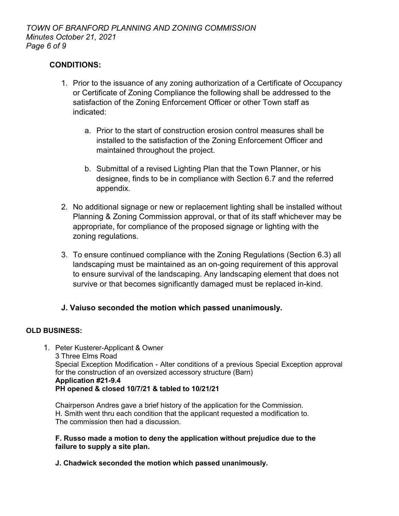## **CONDITIONS:**

- 1. Prior to the issuance of any zoning authorization of a Certificate of Occupancy or Certificate of Zoning Compliance the following shall be addressed to the satisfaction of the Zoning Enforcement Officer or other Town staff as indicated:
	- a. Prior to the start of construction erosion control measures shall be installed to the satisfaction of the Zoning Enforcement Officer and maintained throughout the project.
	- b. Submittal of a revised Lighting Plan that the Town Planner, or his designee, finds to be in compliance with Section 6.7 and the referred appendix.
- 2. No additional signage or new or replacement lighting shall be installed without Planning & Zoning Commission approval, or that of its staff whichever may be appropriate, for compliance of the proposed signage or lighting with the zoning regulations.
- 3. To ensure continued compliance with the Zoning Regulations (Section 6.3) all landscaping must be maintained as an on-going requirement of this approval to ensure survival of the landscaping. Any landscaping element that does not survive or that becomes significantly damaged must be replaced in-kind.

# **J. Vaiuso seconded the motion which passed unanimously.**

#### **OLD BUSINESS:**

1. Peter Kusterer-Applicant & Owner 3 Three Elms Road Special Exception Modification - Alter conditions of a previous Special Exception approval for the construction of an oversized accessory structure (Barn) **Application #21-9.4 PH opened & closed 10/7/21 & tabled to 10/21/21**

Chairperson Andres gave a brief history of the application for the Commission. H. Smith went thru each condition that the applicant requested a modification to. The commission then had a discussion.

#### **F. Russo made a motion to deny the application without prejudice due to the failure to supply a site plan.**

**J. Chadwick seconded the motion which passed unanimously.**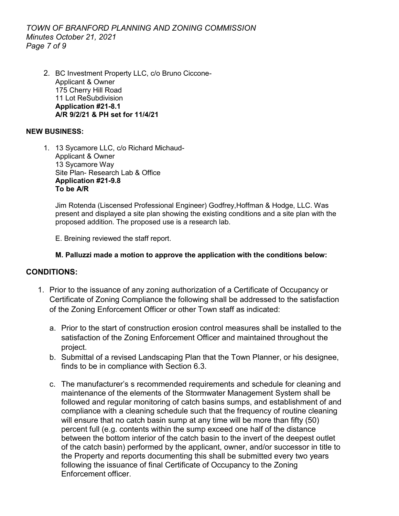*TOWN OF BRANFORD PLANNING AND ZONING COMMISSION Minutes October 21, 2021 Page 7 of 9*

2. BC Investment Property LLC, c/o Bruno Ciccone-Applicant & Owner 175 Cherry Hill Road 11 Lot ReSubdivision **Application #21-8.1 A/R 9/2/21 & PH set for 11/4/21**

### **NEW BUSINESS:**

1. 13 Sycamore LLC, c/o Richard Michaud-Applicant & Owner 13 Sycamore Way Site Plan- Research Lab & Office **Application #21-9.8 To be A/R**

Jim Rotenda (Liscensed Professional Engineer) Godfrey,Hoffman & Hodge, LLC. Was present and displayed a site plan showing the existing conditions and a site plan with the proposed addition. The proposed use is a research lab.

E. Breining reviewed the staff report.

## **M. Palluzzi made a motion to approve the application with the conditions below:**

## **CONDITIONS:**

- 1. Prior to the issuance of any zoning authorization of a Certificate of Occupancy or Certificate of Zoning Compliance the following shall be addressed to the satisfaction of the Zoning Enforcement Officer or other Town staff as indicated:
	- a. Prior to the start of construction erosion control measures shall be installed to the satisfaction of the Zoning Enforcement Officer and maintained throughout the project.
	- b. Submittal of a revised Landscaping Plan that the Town Planner, or his designee, finds to be in compliance with Section 6.3.
	- c. The manufacturer's s recommended requirements and schedule for cleaning and maintenance of the elements of the Stormwater Management System shall be followed and regular monitoring of catch basins sumps, and establishment of and compliance with a cleaning schedule such that the frequency of routine cleaning will ensure that no catch basin sump at any time will be more than fifty (50) percent full (e.g. contents within the sump exceed one half of the distance between the bottom interior of the catch basin to the invert of the deepest outlet of the catch basin) performed by the applicant, owner, and/or successor in title to the Property and reports documenting this shall be submitted every two years following the issuance of final Certificate of Occupancy to the Zoning Enforcement officer.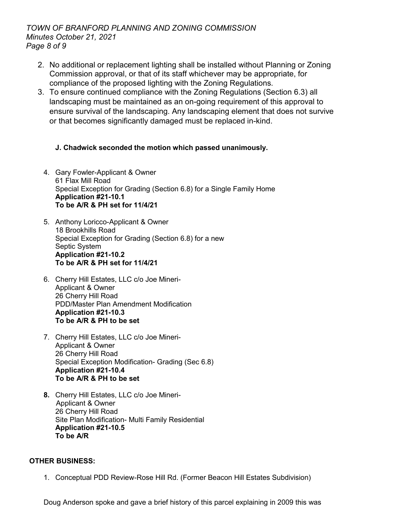## *TOWN OF BRANFORD PLANNING AND ZONING COMMISSION Minutes October 21, 2021 Page 8 of 9*

- 2. No additional or replacement lighting shall be installed without Planning or Zoning Commission approval, or that of its staff whichever may be appropriate, for compliance of the proposed lighting with the Zoning Regulations.
- 3. To ensure continued compliance with the Zoning Regulations (Section 6.3) all landscaping must be maintained as an on-going requirement of this approval to ensure survival of the landscaping. Any landscaping element that does not survive or that becomes significantly damaged must be replaced in-kind.

# **J. Chadwick seconded the motion which passed unanimously.**

- 4. Gary Fowler-Applicant & Owner 61 Flax Mill Road Special Exception for Grading (Section 6.8) for a Single Family Home **Application #21-10.1 To be A/R & PH set for 11/4/21**
- 5. Anthony Loricco-Applicant & Owner 18 Brookhills Road Special Exception for Grading (Section 6.8) for a new Septic System **Application #21-10.2 To be A/R & PH set for 11/4/21**
- 6. Cherry Hill Estates, LLC c/o Joe Mineri-Applicant & Owner 26 Cherry Hill Road PDD/Master Plan Amendment Modification **Application #21-10.3 To be A/R & PH to be set**
- 7. Cherry Hill Estates, LLC c/o Joe Mineri-Applicant & Owner 26 Cherry Hill Road Special Exception Modification- Grading (Sec 6.8) **Application #21-10.4 To be A/R & PH to be set**
- **8.** Cherry Hill Estates, LLC c/o Joe Mineri- Applicant & Owner 26 Cherry Hill Road Site Plan Modification- Multi Family Residential **Application #21-10.5 To be A/R**

# **OTHER BUSINESS:**

1. Conceptual PDD Review-Rose Hill Rd. (Former Beacon Hill Estates Subdivision)

Doug Anderson spoke and gave a brief history of this parcel explaining in 2009 this was